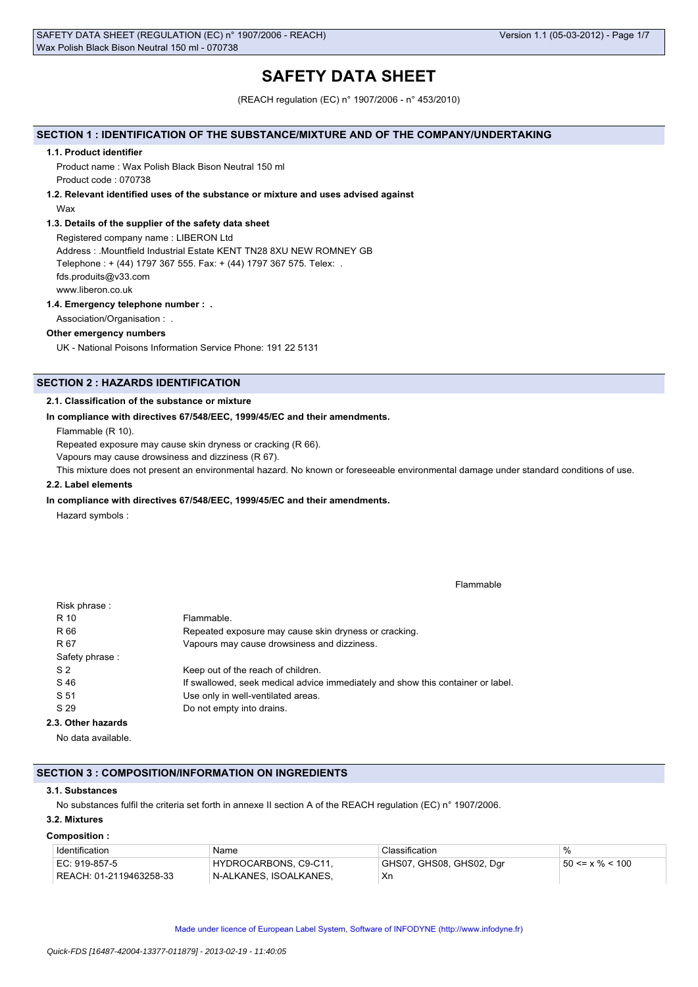# **SAFETY DATA SHEET**

(REACH regulation (EC) n° 1907/2006 - n° 453/2010)

### **SECTION 1 : IDENTIFICATION OF THE SUBSTANCE/MIXTURE AND OF THE COMPANY/UNDERTAKING**

#### **1.1. Product identifier**

Product name : Wax Polish Black Bison Neutral 150 ml Product code : 070738

## **1.2. Relevant identified uses of the substance or mixture and uses advised against**

Wax

### **1.3. Details of the supplier of the safety data sheet**

Registered company name : LIBERON Ltd Address : .Mountfield Industrial Estate KENT TN28 8XU NEW ROMNEY GB Telephone : + (44) 1797 367 555. Fax: + (44) 1797 367 575. Telex: . fds.produits@v33.com www.liberon.co.uk

### **1.4. Emergency telephone number : .**

Association/Organisation : .

### **Other emergency numbers**

UK - National Poisons Information Service Phone: 191 22 5131

# **SECTION 2 : HAZARDS IDENTIFICATION**

### **2.1. Classification of the substance or mixture**

### **In compliance with directives 67/548/EEC, 1999/45/EC and their amendments.**

Flammable (R 10).

Repeated exposure may cause skin dryness or cracking (R 66).

Vapours may cause drowsiness and dizziness (R 67).

This mixture does not present an environmental hazard. No known or foreseeable environmental damage under standard conditions of use.

### **2.2. Label elements**

#### **In compliance with directives 67/548/EEC, 1999/45/EC and their amendments.**

Hazard symbols :

Flammable

| Risk phrase:       |                                                                                 |
|--------------------|---------------------------------------------------------------------------------|
| R 10               | Flammable.                                                                      |
| R 66               | Repeated exposure may cause skin dryness or cracking.                           |
| R 67               | Vapours may cause drowsiness and dizziness.                                     |
| Safety phrase:     |                                                                                 |
| S <sub>2</sub>     | Keep out of the reach of children.                                              |
| S 46               | If swallowed, seek medical advice immediately and show this container or label. |
| S 51               | Use only in well-ventilated areas.                                              |
| S 29               | Do not empty into drains.                                                       |
| 2.3. Other hazards |                                                                                 |
|                    |                                                                                 |

No data available.

### **SECTION 3 : COMPOSITION/INFORMATION ON INGREDIENTS**

#### **3.1. Substances**

No substances fulfil the criteria set forth in annexe II section A of the REACH regulation (EC) n° 1907/2006.

# **3.2. Mixtures Composition :**

| Identification                | Name                   | Classification           |                       |
|-------------------------------|------------------------|--------------------------|-----------------------|
| EC: 919-857-5                 | HYDROCARBONS, C9-C11,  | GHS07, GHS08, GHS02, Dgr | $50 \le x \% \le 100$ |
| REACH: 01-2119463258-33 REACH | N-ALKANES. ISOALKANES. | Xr                       |                       |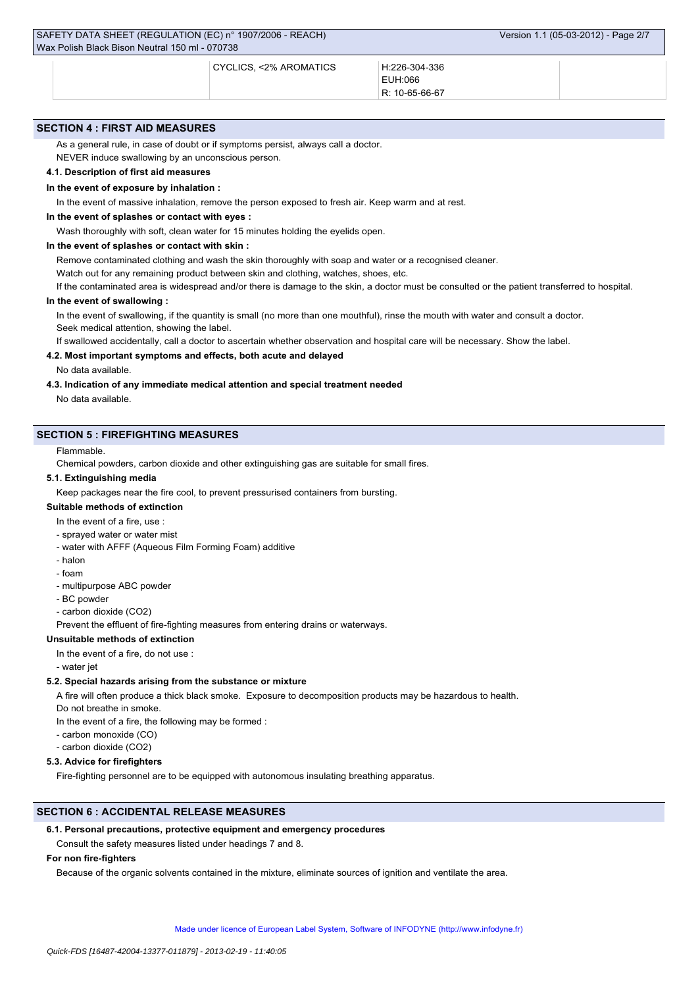CYCLICS, <2% AROMATICS H:226-304-336

| H:226-304-336 |
|---------------|
| EUH:066       |

R: 10-65-66-67

### **SECTION 4 : FIRST AID MEASURES**

As a general rule, in case of doubt or if symptoms persist, always call a doctor.

NEVER induce swallowing by an unconscious person.

# **4.1. Description of first aid measures**

#### **In the event of exposure by inhalation :**

In the event of massive inhalation, remove the person exposed to fresh air. Keep warm and at rest.

### **In the event of splashes or contact with eyes :**

Wash thoroughly with soft, clean water for 15 minutes holding the eyelids open.

#### **In the event of splashes or contact with skin :**

Remove contaminated clothing and wash the skin thoroughly with soap and water or a recognised cleaner.

Watch out for any remaining product between skin and clothing, watches, shoes, etc.

If the contaminated area is widespread and/or there is damage to the skin, a doctor must be consulted or the patient transferred to hospital.

### **In the event of swallowing :**

In the event of swallowing, if the quantity is small (no more than one mouthful), rinse the mouth with water and consult a doctor. Seek medical attention, showing the label.

If swallowed accidentally, call a doctor to ascertain whether observation and hospital care will be necessary. Show the label.

### **4.2. Most important symptoms and effects, both acute and delayed**

No data available.

### **4.3. Indication of any immediate medical attention and special treatment needed**

No data available.

### **SECTION 5 : FIREFIGHTING MEASURES**

### Flammable.

Chemical powders, carbon dioxide and other extinguishing gas are suitable for small fires.

### **5.1. Extinguishing media**

Keep packages near the fire cool, to prevent pressurised containers from bursting.

# **Suitable methods of extinction**

In the event of a fire, use :

- sprayed water or water mist
- water with AFFF (Aqueous Film Forming Foam) additive
- halon
- foam
- multipurpose ABC powder
- BC powder
- carbon dioxide (CO2)

Prevent the effluent of fire-fighting measures from entering drains or waterways.

# **Unsuitable methods of extinction**

- In the event of a fire, do not use :
- water jet

#### **5.2. Special hazards arising from the substance or mixture**

A fire will often produce a thick black smoke. Exposure to decomposition products may be hazardous to health.

Do not breathe in smoke.

- In the event of a fire, the following may be formed :
- carbon monoxide (CO)
- carbon dioxide (CO2)

### **5.3. Advice for firefighters**

Fire-fighting personnel are to be equipped with autonomous insulating breathing apparatus.

### **SECTION 6 : ACCIDENTAL RELEASE MEASURES**

#### **6.1. Personal precautions, protective equipment and emergency procedures**

Consult the safety measures listed under headings 7 and 8.

### **For non fire-fighters**

Because of the organic solvents contained in the mixture, eliminate sources of ignition and ventilate the area.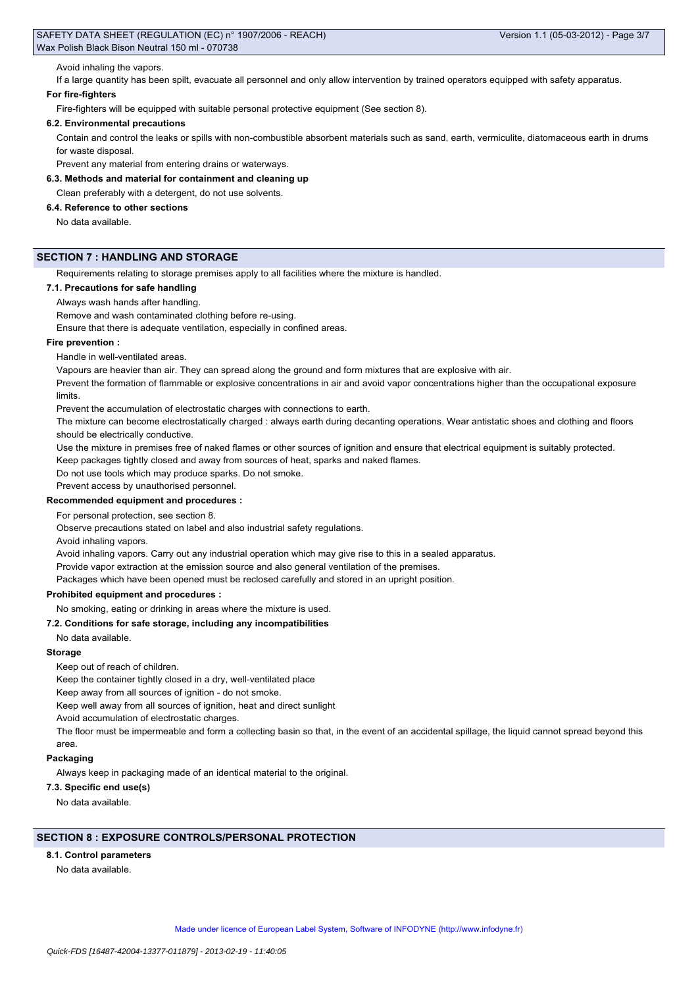### Avoid inhaling the vapors.

If a large quantity has been spilt, evacuate all personnel and only allow intervention by trained operators equipped with safety apparatus.

### **For fire-fighters**

Fire-fighters will be equipped with suitable personal protective equipment (See section 8).

### **6.2. Environmental precautions**

Contain and control the leaks or spills with non-combustible absorbent materials such as sand, earth, vermiculite, diatomaceous earth in drums for waste disposal.

Prevent any material from entering drains or waterways.

**6.3. Methods and material for containment and cleaning up**

Clean preferably with a detergent, do not use solvents.

### **6.4. Reference to other sections**

No data available.

### **SECTION 7 : HANDLING AND STORAGE**

Requirements relating to storage premises apply to all facilities where the mixture is handled.

### **7.1. Precautions for safe handling**

Always wash hands after handling.

Remove and wash contaminated clothing before re-using.

Ensure that there is adequate ventilation, especially in confined areas.

### **Fire prevention :**

Handle in well-ventilated areas.

Vapours are heavier than air. They can spread along the ground and form mixtures that are explosive with air.

Prevent the formation of flammable or explosive concentrations in air and avoid vapor concentrations higher than the occupational exposure limits.

Prevent the accumulation of electrostatic charges with connections to earth.

The mixture can become electrostatically charged : always earth during decanting operations. Wear antistatic shoes and clothing and floors should be electrically conductive.

Use the mixture in premises free of naked flames or other sources of ignition and ensure that electrical equipment is suitably protected.

Keep packages tightly closed and away from sources of heat, sparks and naked flames.

Do not use tools which may produce sparks. Do not smoke.

Prevent access by unauthorised personnel.

### **Recommended equipment and procedures :**

For personal protection, see section 8.

Observe precautions stated on label and also industrial safety regulations.

Avoid inhaling vapors.

Avoid inhaling vapors. Carry out any industrial operation which may give rise to this in a sealed apparatus.

Provide vapor extraction at the emission source and also general ventilation of the premises.

Packages which have been opened must be reclosed carefully and stored in an upright position.

### **Prohibited equipment and procedures :**

No smoking, eating or drinking in areas where the mixture is used.

### **7.2. Conditions for safe storage, including any incompatibilities**

### No data available.

#### **Storage**

#### Keep out of reach of children.

Keep the container tightly closed in a dry, well-ventilated place

Keep away from all sources of ignition - do not smoke.

Keep well away from all sources of ignition, heat and direct sunlight

Avoid accumulation of electrostatic charges.

The floor must be impermeable and form a collecting basin so that, in the event of an accidental spillage, the liquid cannot spread beyond this area.

#### **Packaging**

Always keep in packaging made of an identical material to the original.

### **7.3. Specific end use(s)**

No data available.

# **SECTION 8 : EXPOSURE CONTROLS/PERSONAL PROTECTION**

### **8.1. Control parameters**

No data available.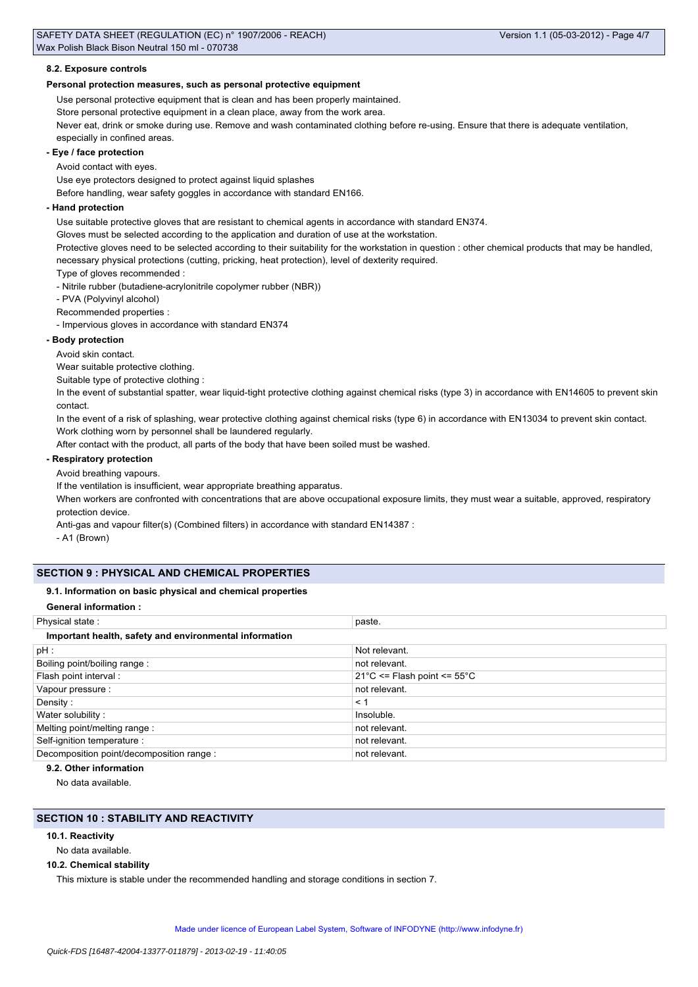### **8.2. Exposure controls**

### **Personal protection measures, such as personal protective equipment**

Use personal protective equipment that is clean and has been properly maintained. Store personal protective equipment in a clean place, away from the work area.

Never eat, drink or smoke during use. Remove and wash contaminated clothing before re-using. Ensure that there is adequate ventilation, especially in confined areas.

### **- Eye / face protection**

Avoid contact with eyes.

Use eye protectors designed to protect against liquid splashes

Before handling, wear safety goggles in accordance with standard EN166.

#### **- Hand protection**

Use suitable protective gloves that are resistant to chemical agents in accordance with standard EN374.

Gloves must be selected according to the application and duration of use at the workstation.

Protective gloves need to be selected according to their suitability for the workstation in question : other chemical products that may be handled, necessary physical protections (cutting, pricking, heat protection), level of dexterity required.

Type of gloves recommended :

- Nitrile rubber (butadiene-acrylonitrile copolymer rubber (NBR))

- PVA (Polyvinyl alcohol)

Recommended properties :

- Impervious gloves in accordance with standard EN374

### **- Body protection**

Avoid skin contact.

Wear suitable protective clothing.

Suitable type of protective clothing :

In the event of substantial spatter, wear liquid-tight protective clothing against chemical risks (type 3) in accordance with EN14605 to prevent skin contact.

In the event of a risk of splashing, wear protective clothing against chemical risks (type 6) in accordance with EN13034 to prevent skin contact. Work clothing worn by personnel shall be laundered regularly.

After contact with the product, all parts of the body that have been soiled must be washed.

### **- Respiratory protection**

Avoid breathing vapours.

If the ventilation is insufficient, wear appropriate breathing apparatus.

When workers are confronted with concentrations that are above occupational exposure limits, they must wear a suitable, approved, respiratory protection device.

Anti-gas and vapour filter(s) (Combined filters) in accordance with standard EN14387 :

- A1 (Brown)

### **SECTION 9 : PHYSICAL AND CHEMICAL PROPERTIES**

### **9.1. Information on basic physical and chemical properties**

### **General information :**

| paste.                                          |
|-------------------------------------------------|
|                                                 |
| Not relevant.                                   |
| not relevant.                                   |
| $21^{\circ}$ C <= Flash point <= $55^{\circ}$ C |
| not relevant.                                   |
| $\leq$ 1                                        |
| Insoluble.                                      |
| not relevant.                                   |
| not relevant.                                   |
| not relevant.                                   |
|                                                 |

### **9.2. Other information**

No data available.

# **SECTION 10 : STABILITY AND REACTIVITY**

### **10.1. Reactivity**

No data available.

#### **10.2. Chemical stability**

This mixture is stable under the recommended handling and storage conditions in section 7.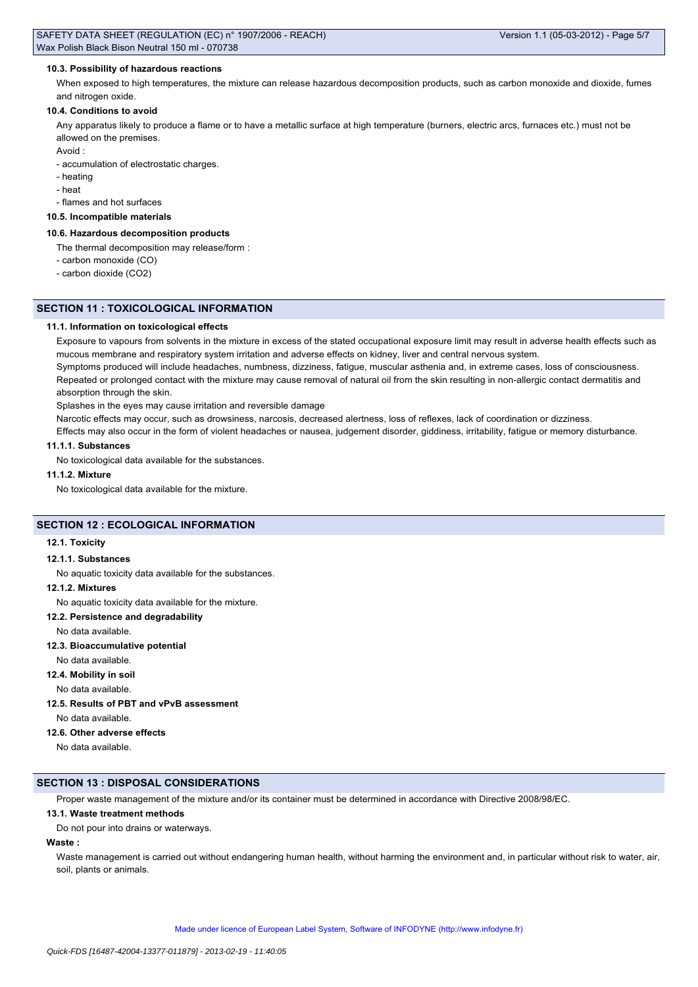### **10.3. Possibility of hazardous reactions**

When exposed to high temperatures, the mixture can release hazardous decomposition products, such as carbon monoxide and dioxide, fumes and nitrogen oxide.

### **10.4. Conditions to avoid**

Any apparatus likely to produce a flame or to have a metallic surface at high temperature (burners, electric arcs, furnaces etc.) must not be allowed on the premises.

Avoid :

- accumulation of electrostatic charges.

- heating
- heat
- flames and hot surfaces

### **10.5. Incompatible materials**

#### **10.6. Hazardous decomposition products**

The thermal decomposition may release/form :

- carbon monoxide (CO)
- carbon dioxide (CO2)

### **SECTION 11 : TOXICOLOGICAL INFORMATION**

### **11.1. Information on toxicological effects**

Exposure to vapours from solvents in the mixture in excess of the stated occupational exposure limit may result in adverse health effects such as mucous membrane and respiratory system irritation and adverse effects on kidney, liver and central nervous system.

Symptoms produced will include headaches, numbness, dizziness, fatigue, muscular asthenia and, in extreme cases, loss of consciousness. Repeated or prolonged contact with the mixture may cause removal of natural oil from the skin resulting in non-allergic contact dermatitis and absorption through the skin.

Splashes in the eyes may cause irritation and reversible damage

Narcotic effects may occur, such as drowsiness, narcosis, decreased alertness, loss of reflexes, lack of coordination or dizziness.

Effects may also occur in the form of violent headaches or nausea, judgement disorder, giddiness, irritability, fatigue or memory disturbance.

#### **11.1.1. Substances**

No toxicological data available for the substances.

#### **11.1.2. Mixture**

No toxicological data available for the mixture.

### **SECTION 12 : ECOLOGICAL INFORMATION**

### **12.1. Toxicity**

### **12.1.1. Substances**

No aquatic toxicity data available for the substances.

#### **12.1.2. Mixtures**

No aquatic toxicity data available for the mixture.

### **12.2. Persistence and degradability**

No data available.

### **12.3. Bioaccumulative potential**

No data available.

# **12.4. Mobility in soil**

No data available.

### **12.5. Results of PBT and vPvB assessment**

No data available.

#### **12.6. Other adverse effects**

No data available.

### **SECTION 13 : DISPOSAL CONSIDERATIONS**

Proper waste management of the mixture and/or its container must be determined in accordance with Directive 2008/98/EC.

### **13.1. Waste treatment methods**

Do not pour into drains or waterways.

### **Waste :**

Waste management is carried out without endangering human health, without harming the environment and, in particular without risk to water, air, soil, plants or animals.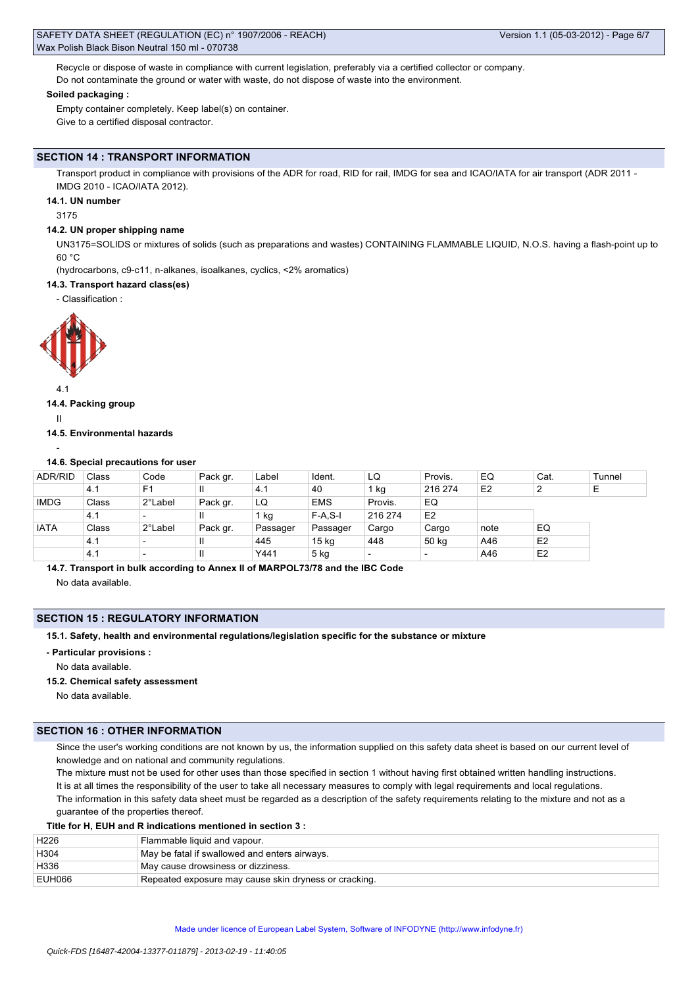Recycle or dispose of waste in compliance with current legislation, preferably via a certified collector or company. Do not contaminate the ground or water with waste, do not dispose of waste into the environment.

#### **Soiled packaging :**

Empty container completely. Keep label(s) on container. Give to a certified disposal contractor.

#### **SECTION 14 : TRANSPORT INFORMATION**

Transport product in compliance with provisions of the ADR for road, RID for rail, IMDG for sea and ICAO/IATA for air transport (ADR 2011 -IMDG 2010 - ICAO/IATA 2012).

### **14.1. UN number**

3175

### **14.2. UN proper shipping name**

UN3175=SOLIDS or mixtures of solids (such as preparations and wastes) CONTAINING FLAMMABLE LIQUID, N.O.S. having a flash-point up to 60 °C

(hydrocarbons, c9-c11, n-alkanes, isoalkanes, cyclics, <2% aromatics)

#### **14.3. Transport hazard class(es)**

- Classification :



#### 4.1

### **14.4. Packing group**

II

#### **14.5. Environmental hazards**

#### -

### **14.6. Special precautions for user**

| <b>ADR/RID</b> | Class | Code                     | Pack gr.     | Label    | Ident.           | LQ      | Provis.        | EQ             | Cat.           | Tunnel |
|----------------|-------|--------------------------|--------------|----------|------------------|---------|----------------|----------------|----------------|--------|
|                | 4.1   | F <sub>1</sub>           |              | 4.1      | 40               | kg      | 216 274        | E <sub>2</sub> | ົ              | E      |
| <b>IMDG</b>    | Class | 2°Label                  | Pack gr.     | LQ       | <b>EMS</b>       | Provis. | EQ             |                |                |        |
|                | 4.1   | $\overline{\phantom{0}}$ |              | 1 kg     | $F-A, S-I$       | 216 274 | E <sub>2</sub> |                |                |        |
| <b>IATA</b>    | Class | 2°Label                  | Pack gr.     | Passager | Passager         | Cargo   | Cargo          | note           | EQ             |        |
|                | 4.1   |                          | $\mathbf{I}$ | 445      | 15 <sub>kg</sub> | 448     | 50 kg          | A46            | E <sub>2</sub> |        |
|                | 4.1   | $\overline{\phantom{0}}$ | $\mathbf{I}$ | Y441     | 5 kg             |         |                | A46            | E <sub>2</sub> |        |

**14.7. Transport in bulk according to Annex II of MARPOL73/78 and the IBC Code**

No data available.

#### **SECTION 15 : REGULATORY INFORMATION**

**15.1. Safety, health and environmental regulations/legislation specific for the substance or mixture**

#### **- Particular provisions :**

No data available.

#### **15.2. Chemical safety assessment**

No data available.

### **SECTION 16 : OTHER INFORMATION**

Since the user's working conditions are not known by us, the information supplied on this safety data sheet is based on our current level of knowledge and on national and community regulations.

The mixture must not be used for other uses than those specified in section 1 without having first obtained written handling instructions. It is at all times the responsibility of the user to take all necessary measures to comply with legal requirements and local regulations. The information in this safety data sheet must be regarded as a description of the safety requirements relating to the mixture and not as a guarantee of the properties thereof.

### **Title for H, EUH and R indications mentioned in section 3 :**

| H226   | Flammable liquid and vapour.                          |
|--------|-------------------------------------------------------|
| H304   | May be fatal if swallowed and enters airways.         |
| H336   | May cause drowsiness or dizziness.                    |
| EUH066 | Repeated exposure may cause skin dryness or cracking. |